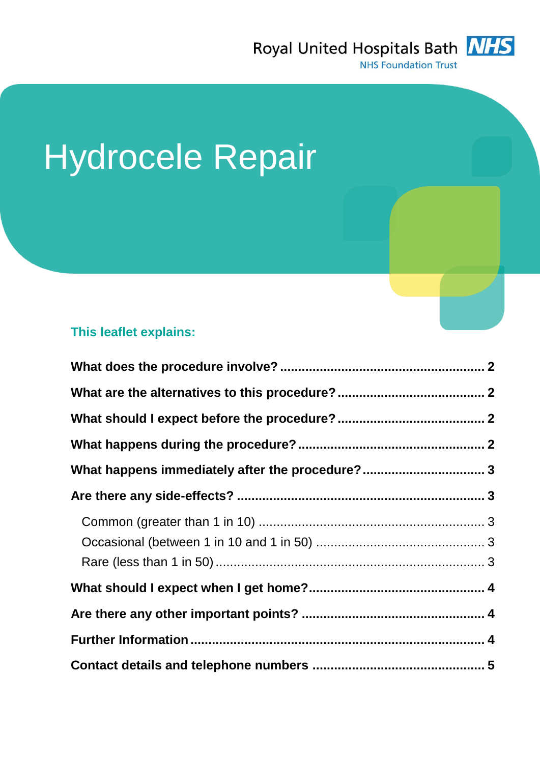

# Hydrocele Repair

## **This leaflet explains:**

| What happens immediately after the procedure? 3 |  |
|-------------------------------------------------|--|
|                                                 |  |
|                                                 |  |
|                                                 |  |
|                                                 |  |
|                                                 |  |
|                                                 |  |
|                                                 |  |
|                                                 |  |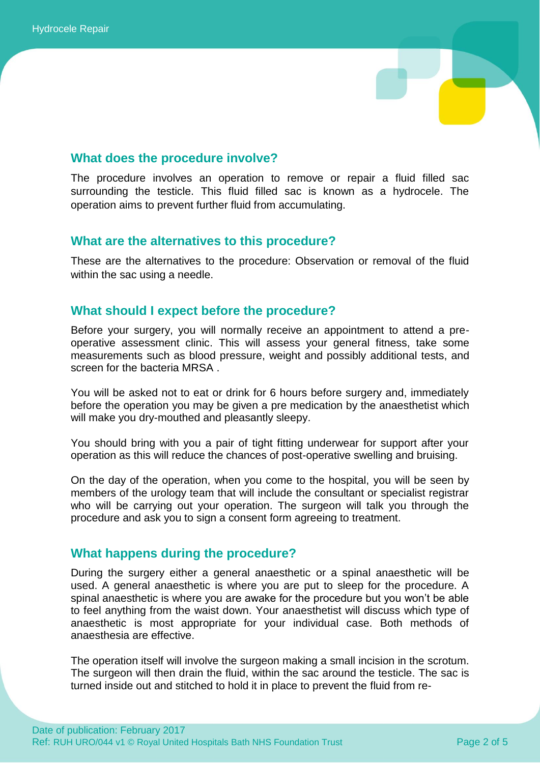

## **What does the procedure involve?**

The procedure involves an operation to remove or repair a fluid filled sac surrounding the testicle. This fluid filled sac is known as a hydrocele. The operation aims to prevent further fluid from accumulating.

## **What are the alternatives to this procedure?**

These are the alternatives to the procedure: Observation or removal of the fluid within the sac using a needle.

## **What should I expect before the procedure?**

Before your surgery, you will normally receive an appointment to attend a preoperative assessment clinic. This will assess your general fitness, take some measurements such as blood pressure, weight and possibly additional tests, and screen for the bacteria MRSA .

You will be asked not to eat or drink for 6 hours before surgery and, immediately before the operation you may be given a pre medication by the anaesthetist which will make you dry-mouthed and pleasantly sleepy.

You should bring with you a pair of tight fitting underwear for support after your operation as this will reduce the chances of post-operative swelling and bruising.

On the day of the operation, when you come to the hospital, you will be seen by members of the urology team that will include the consultant or specialist registrar who will be carrying out your operation. The surgeon will talk you through the procedure and ask you to sign a consent form agreeing to treatment.

## **What happens during the procedure?**

During the surgery either a general anaesthetic or a spinal anaesthetic will be used. A general anaesthetic is where you are put to sleep for the procedure. A spinal anaesthetic is where you are awake for the procedure but you won't be able to feel anything from the waist down. Your anaesthetist will discuss which type of anaesthetic is most appropriate for your individual case. Both methods of anaesthesia are effective.

The operation itself will involve the surgeon making a small incision in the scrotum. The surgeon will then drain the fluid, within the sac around the testicle. The sac is turned inside out and stitched to hold it in place to prevent the fluid from re-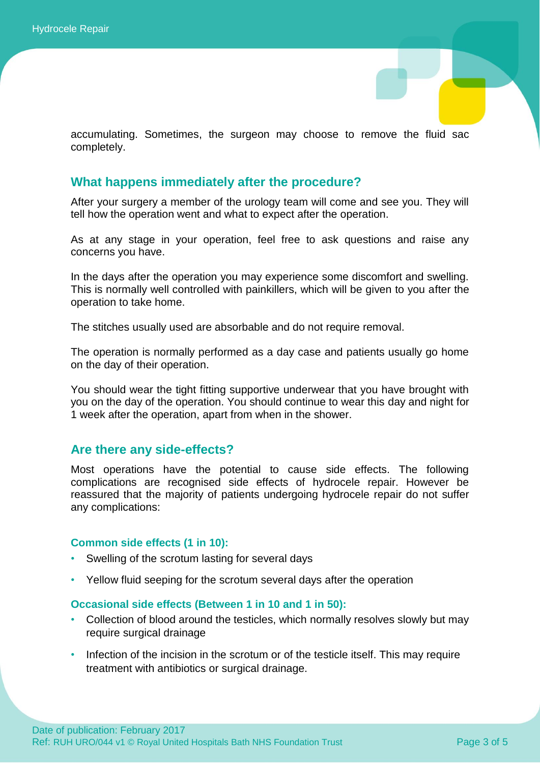accumulating. Sometimes, the surgeon may choose to remove the fluid sac completely.

### **What happens immediately after the procedure?**

After your surgery a member of the urology team will come and see you. They will tell how the operation went and what to expect after the operation.

As at any stage in your operation, feel free to ask questions and raise any concerns you have.

In the days after the operation you may experience some discomfort and swelling. This is normally well controlled with painkillers, which will be given to you after the operation to take home.

The stitches usually used are absorbable and do not require removal.

The operation is normally performed as a day case and patients usually go home on the day of their operation.

You should wear the tight fitting supportive underwear that you have brought with you on the day of the operation. You should continue to wear this day and night for 1 week after the operation, apart from when in the shower.

#### **Are there any side-effects?**

Most operations have the potential to cause side effects. The following complications are recognised side effects of hydrocele repair. However be reassured that the majority of patients undergoing hydrocele repair do not suffer any complications:

#### **Common side effects (1 in 10):**

- Swelling of the scrotum lasting for several days
- Yellow fluid seeping for the scrotum several days after the operation

#### **Occasional side effects (Between 1 in 10 and 1 in 50):**

- Collection of blood around the testicles, which normally resolves slowly but may require surgical drainage
- Infection of the incision in the scrotum or of the testicle itself. This may require treatment with antibiotics or surgical drainage.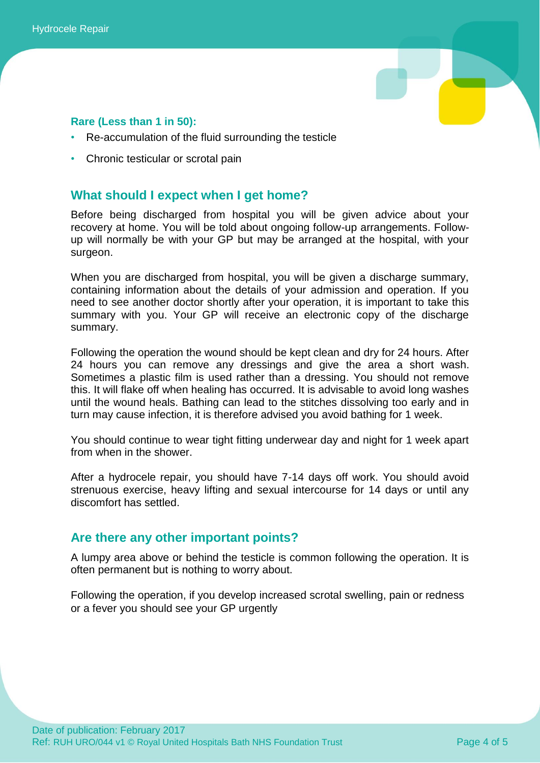

## **Rare (Less than 1 in 50):**

- Re-accumulation of the fluid surrounding the testicle
- Chronic testicular or scrotal pain

## **What should I expect when I get home?**

Before being discharged from hospital you will be given advice about your recovery at home. You will be told about ongoing follow-up arrangements. Followup will normally be with your GP but may be arranged at the hospital, with your surgeon.

When you are discharged from hospital, you will be given a discharge summary, containing information about the details of your admission and operation. If you need to see another doctor shortly after your operation, it is important to take this summary with you. Your GP will receive an electronic copy of the discharge summary.

Following the operation the wound should be kept clean and dry for 24 hours. After 24 hours you can remove any dressings and give the area a short wash. Sometimes a plastic film is used rather than a dressing. You should not remove this. It will flake off when healing has occurred. It is advisable to avoid long washes until the wound heals. Bathing can lead to the stitches dissolving too early and in turn may cause infection, it is therefore advised you avoid bathing for 1 week.

You should continue to wear tight fitting underwear day and night for 1 week apart from when in the shower.

After a hydrocele repair, you should have 7-14 days off work. You should avoid strenuous exercise, heavy lifting and sexual intercourse for 14 days or until any discomfort has settled.

## **Are there any other important points?**

A lumpy area above or behind the testicle is common following the operation. It is often permanent but is nothing to worry about.

Following the operation, if you develop increased scrotal swelling, pain or redness or a fever you should see your GP urgently